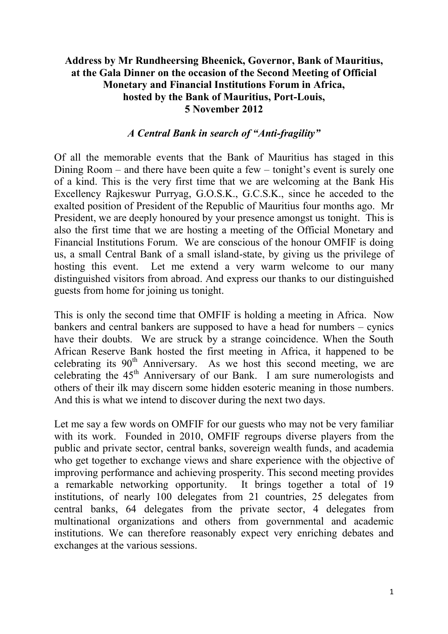## **Address by Mr Rundheersing Bheenick, Governor, Bank of Mauritius, at the Gala Dinner on the occasion of the Second Meeting of Official Monetary and Financial Institutions Forum in Africa, hosted by the Bank of Mauritius, Port-Louis, 5 November 2012**

### *A Central Bank in search of "Anti-fragility"*

Of all the memorable events that the Bank of Mauritius has staged in this Dining Room – and there have been quite a few – tonight's event is surely one of a kind. This is the very first time that we are welcoming at the Bank His Excellency Rajkeswur Purryag, G.O.S.K., G.C.S.K., since he acceded to the exalted position of President of the Republic of Mauritius four months ago. Mr President, we are deeply honoured by your presence amongst us tonight. This is also the first time that we are hosting a meeting of the Official Monetary and Financial Institutions Forum. We are conscious of the honour OMFIF is doing us, a small Central Bank of a small island-state, by giving us the privilege of hosting this event. Let me extend a very warm welcome to our many distinguished visitors from abroad. And express our thanks to our distinguished guests from home for joining us tonight.

This is only the second time that OMFIF is holding a meeting in Africa. Now bankers and central bankers are supposed to have a head for numbers – cynics have their doubts. We are struck by a strange coincidence. When the South African Reserve Bank hosted the first meeting in Africa, it happened to be celebrating its  $90<sup>th</sup>$  Anniversary. As we host this second meeting, we are celebrating the 45<sup>th</sup> Anniversary of our Bank. I am sure numerologists and others of their ilk may discern some hidden esoteric meaning in those numbers. And this is what we intend to discover during the next two days.

Let me say a few words on OMFIF for our guests who may not be very familiar with its work. Founded in 2010, OMFIF regroups diverse players from the public and private sector, central banks, sovereign wealth funds, and academia who get together to exchange views and share experience with the objective of improving performance and achieving prosperity. This second meeting provides a remarkable networking opportunity. It brings together a total of 19 institutions, of nearly 100 delegates from 21 countries, 25 delegates from central banks, 64 delegates from the private sector, 4 delegates from multinational organizations and others from governmental and academic institutions. We can therefore reasonably expect very enriching debates and exchanges at the various sessions.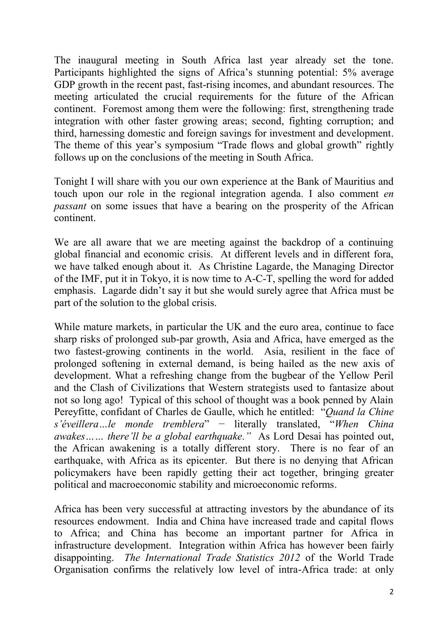The inaugural meeting in South Africa last year already set the tone. Participants highlighted the signs of Africa's stunning potential: 5% average GDP growth in the recent past, fast-rising incomes, and abundant resources. The meeting articulated the crucial requirements for the future of the African continent. Foremost among them were the following: first, strengthening trade integration with other faster growing areas; second, fighting corruption; and third, harnessing domestic and foreign savings for investment and development. The theme of this year's symposium "Trade flows and global growth" rightly follows up on the conclusions of the meeting in South Africa.

Tonight I will share with you our own experience at the Bank of Mauritius and touch upon our role in the regional integration agenda. I also comment *en passant* on some issues that have a bearing on the prosperity of the African continent.

We are all aware that we are meeting against the backdrop of a continuing global financial and economic crisis. At different levels and in different fora, we have talked enough about it. As Christine Lagarde, the Managing Director of the IMF, put it in Tokyo, it is now time to A-C-T, spelling the word for added emphasis. Lagarde didn't say it but she would surely agree that Africa must be part of the solution to the global crisis.

While mature markets, in particular the UK and the euro area, continue to face sharp risks of prolonged sub-par growth, Asia and Africa, have emerged as the two fastest-growing continents in the world. Asia, resilient in the face of prolonged softening in external demand, is being hailed as the new axis of development. What a refreshing change from the bugbear of the Yellow Peril and the Clash of Civilizations that Western strategists used to fantasize about not so long ago! Typical of this school of thought was a book penned by Alain Pereyfitte, confidant of Charles de Gaulle, which he entitled: "*Quand la Chine s'éveillera…le monde tremblera*" − literally translated, "*When China awakes…… there'll be a global earthquake."* As Lord Desai has pointed out, the African awakening is a totally different story. There is no fear of an earthquake, with Africa as its epicenter. But there is no denying that African policymakers have been rapidly getting their act together, bringing greater political and macroeconomic stability and microeconomic reforms.

Africa has been very successful at attracting investors by the abundance of its resources endowment. India and China have increased trade and capital flows to Africa; and China has become an important partner for Africa in infrastructure development. Integration within Africa has however been fairly disappointing. *The International Trade Statistics 2012* of the World Trade Organisation confirms the relatively low level of intra-Africa trade: at only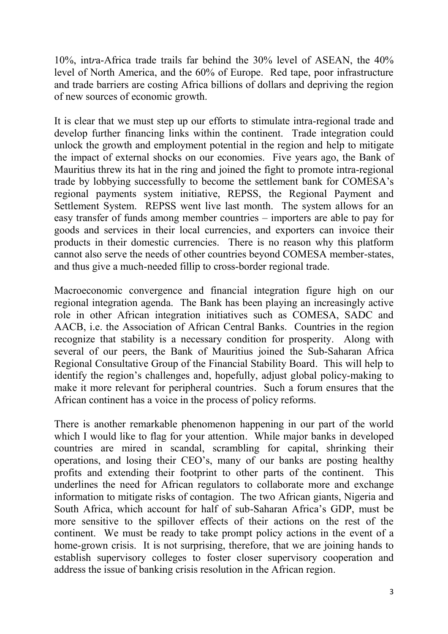10%, int*r*a-Africa trade trails far behind the 30% level of ASEAN, the 40% level of North America, and the 60% of Europe. Red tape, poor infrastructure and trade barriers are costing Africa billions of dollars and depriving the region of new sources of economic growth.

It is clear that we must step up our efforts to stimulate intra-regional trade and develop further financing links within the continent. Trade integration could unlock the growth and employment potential in the region and help to mitigate the impact of external shocks on our economies. Five years ago, the Bank of Mauritius threw its hat in the ring and joined the fight to promote intra-regional trade by lobbying successfully to become the settlement bank for COMESA's regional payments system initiative, REPSS, the Regional Payment and Settlement System. REPSS went live last month. The system allows for an easy transfer of funds among member countries – importers are able to pay for goods and services in their local currencies, and exporters can invoice their products in their domestic currencies. There is no reason why this platform cannot also serve the needs of other countries beyond COMESA member-states, and thus give a much-needed fillip to cross-border regional trade.

Macroeconomic convergence and financial integration figure high on our regional integration agenda. The Bank has been playing an increasingly active role in other African integration initiatives such as COMESA, SADC and AACB, i.e. the Association of African Central Banks. Countries in the region recognize that stability is a necessary condition for prosperity. Along with several of our peers, the Bank of Mauritius joined the Sub-Saharan Africa Regional Consultative Group of the Financial Stability Board. This will help to identify the region's challenges and, hopefully, adjust global policy-making to make it more relevant for peripheral countries. Such a forum ensures that the African continent has a voice in the process of policy reforms.

There is another remarkable phenomenon happening in our part of the world which I would like to flag for your attention. While major banks in developed countries are mired in scandal, scrambling for capital, shrinking their operations, and losing their CEO's, many of our banks are posting healthy profits and extending their footprint to other parts of the continent. This underlines the need for African regulators to collaborate more and exchange information to mitigate risks of contagion. The two African giants, Nigeria and South Africa, which account for half of sub-Saharan Africa's GDP, must be more sensitive to the spillover effects of their actions on the rest of the continent. We must be ready to take prompt policy actions in the event of a home-grown crisis. It is not surprising, therefore, that we are joining hands to establish supervisory colleges to foster closer supervisory cooperation and address the issue of banking crisis resolution in the African region.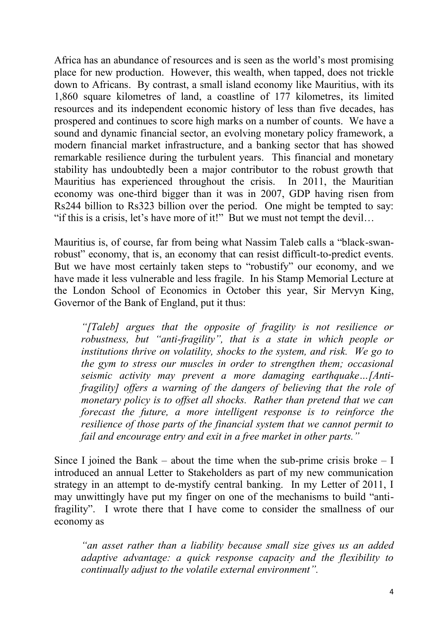Africa has an abundance of resources and is seen as the world's most promising place for new production. However, this wealth, when tapped, does not trickle down to Africans. By contrast, a small island economy like Mauritius, with its 1,860 square kilometres of land, a coastline of 177 kilometres, its limited resources and its independent economic history of less than five decades, has prospered and continues to score high marks on a number of counts. We have a sound and dynamic financial sector, an evolving monetary policy framework, a modern financial market infrastructure, and a banking sector that has showed remarkable resilience during the turbulent years. This financial and monetary stability has undoubtedly been a major contributor to the robust growth that Mauritius has experienced throughout the crisis. In 2011, the Mauritian economy was one-third bigger than it was in 2007, GDP having risen from Rs244 billion to Rs323 billion over the period. One might be tempted to say: "if this is a crisis, let's have more of it!" But we must not tempt the devil...

Mauritius is, of course, far from being what Nassim Taleb calls a "black-swanrobust" economy, that is, an economy that can resist difficult-to-predict events. But we have most certainly taken steps to "robustify" our economy, and we have made it less vulnerable and less fragile. In his Stamp Memorial Lecture at the London School of Economics in October this year, Sir Mervyn King, Governor of the Bank of England, put it thus:

*"[Taleb] argues that the opposite of fragility is not resilience or robustness, but "anti-fragility", that is a state in which people or institutions thrive on volatility, shocks to the system, and risk. We go to the gym to stress our muscles in order to strengthen them; occasional seismic activity may prevent a more damaging earthquake…[Antifragility] offers a warning of the dangers of believing that the role of monetary policy is to offset all shocks. Rather than pretend that we can forecast the future, a more intelligent response is to reinforce the resilience of those parts of the financial system that we cannot permit to fail and encourage entry and exit in a free market in other parts."*

Since I joined the Bank – about the time when the sub-prime crisis broke – I introduced an annual Letter to Stakeholders as part of my new communication strategy in an attempt to de-mystify central banking. In my Letter of 2011, I may unwittingly have put my finger on one of the mechanisms to build "antifragility". I wrote there that I have come to consider the smallness of our economy as

*"an asset rather than a liability because small size gives us an added adaptive advantage: a quick response capacity and the flexibility to continually adjust to the volatile external environment".*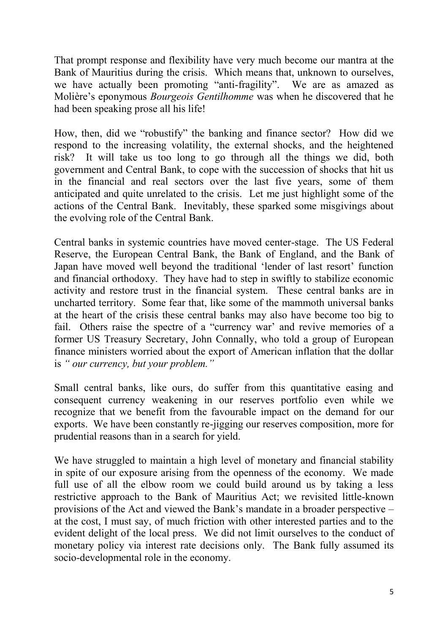That prompt response and flexibility have very much become our mantra at the Bank of Mauritius during the crisis. Which means that, unknown to ourselves, we have actually been promoting "anti-fragility". We are as amazed as Molière's eponymous *Bourgeois Gentilhomme* was when he discovered that he had been speaking prose all his life!

How, then, did we "robustify" the banking and finance sector? How did we respond to the increasing volatility, the external shocks, and the heightened risk? It will take us too long to go through all the things we did, both government and Central Bank, to cope with the succession of shocks that hit us in the financial and real sectors over the last five years, some of them anticipated and quite unrelated to the crisis. Let me just highlight some of the actions of the Central Bank. Inevitably, these sparked some misgivings about the evolving role of the Central Bank.

Central banks in systemic countries have moved center-stage. The US Federal Reserve, the European Central Bank, the Bank of England, and the Bank of Japan have moved well beyond the traditional 'lender of last resort' function and financial orthodoxy. They have had to step in swiftly to stabilize economic activity and restore trust in the financial system. These central banks are in uncharted territory. Some fear that, like some of the mammoth universal banks at the heart of the crisis these central banks may also have become too big to fail. Others raise the spectre of a "currency war' and revive memories of a former US Treasury Secretary, John Connally, who told a group of European finance ministers worried about the export of American inflation that the dollar is *" our currency, but your problem."*

Small central banks, like ours, do suffer from this quantitative easing and consequent currency weakening in our reserves portfolio even while we recognize that we benefit from the favourable impact on the demand for our exports. We have been constantly re-jigging our reserves composition, more for prudential reasons than in a search for yield.

We have struggled to maintain a high level of monetary and financial stability in spite of our exposure arising from the openness of the economy. We made full use of all the elbow room we could build around us by taking a less restrictive approach to the Bank of Mauritius Act; we revisited little-known provisions of the Act and viewed the Bank's mandate in a broader perspective – at the cost, I must say, of much friction with other interested parties and to the evident delight of the local press. We did not limit ourselves to the conduct of monetary policy via interest rate decisions only. The Bank fully assumed its socio-developmental role in the economy.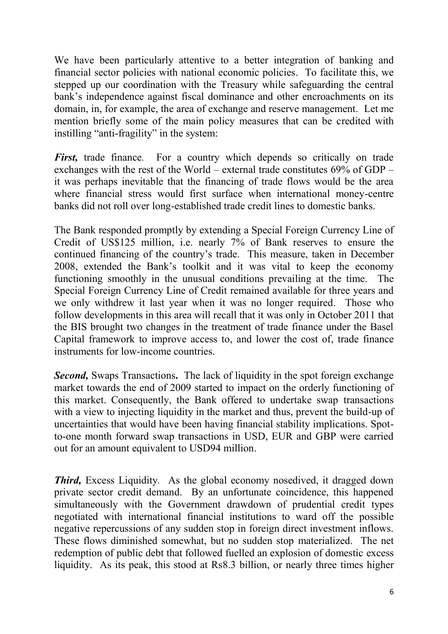We have been particularly attentive to a better integration of banking and financial sector policies with national economic policies. To facilitate this, we stepped up our coordination with the Treasury while safeguarding the central bank's independence against fiscal dominance and other encroachments on its domain, in, for example, the area of exchange and reserve management. Let me mention briefly some of the main policy measures that can be credited with instilling "anti-fragility" in the system:

*First*, trade finance. For a country which depends so critically on trade exchanges with the rest of the World – external trade constitutes 69% of GDP – it was perhaps inevitable that the financing of trade flows would be the area where financial stress would first surface when international money-centre banks did not roll over long-established trade credit lines to domestic banks.

The Bank responded promptly by extending a Special Foreign Currency Line of Credit of US\$125 million, i.e. nearly 7% of Bank reserves to ensure the continued financing of the country's trade. This measure, taken in December 2008, extended the Bank's toolkit and it was vital to keep the economy functioning smoothly in the unusual conditions prevailing at the time. The Special Foreign Currency Line of Credit remained available for three years and we only withdrew it last year when it was no longer required. Those who follow developments in this area will recall that it was only in October 2011 that the BIS brought two changes in the treatment of trade finance under the Basel Capital framework to improve access to, and lower the cost of, trade finance instruments for low-income countries.

*Second,* Swaps Transactions**.** The lack of liquidity in the spot foreign exchange market towards the end of 2009 started to impact on the orderly functioning of this market. Consequently, the Bank offered to undertake swap transactions with a view to injecting liquidity in the market and thus, prevent the build-up of uncertainties that would have been having financial stability implications. Spotto-one month forward swap transactions in USD, EUR and GBP were carried out for an amount equivalent to USD94 million.

*Third,* Excess Liquidity. As the global economy nosedived, it dragged down private sector credit demand. By an unfortunate coincidence, this happened simultaneously with the Government drawdown of prudential credit types negotiated with international financial institutions to ward off the possible negative repercussions of any sudden stop in foreign direct investment inflows. These flows diminished somewhat, but no sudden stop materialized. The net redemption of public debt that followed fuelled an explosion of domestic excess liquidity. As its peak, this stood at Rs8.3 billion, or nearly three times higher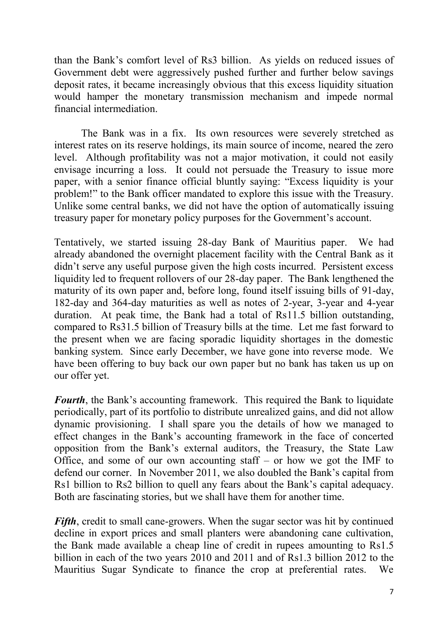than the Bank's comfort level of Rs3 billion. As yields on reduced issues of Government debt were aggressively pushed further and further below savings deposit rates, it became increasingly obvious that this excess liquidity situation would hamper the monetary transmission mechanism and impede normal financial intermediation.

The Bank was in a fix. Its own resources were severely stretched as interest rates on its reserve holdings, its main source of income, neared the zero level. Although profitability was not a major motivation, it could not easily envisage incurring a loss. It could not persuade the Treasury to issue more paper, with a senior finance official bluntly saying: "Excess liquidity is your problem!" to the Bank officer mandated to explore this issue with the Treasury. Unlike some central banks, we did not have the option of automatically issuing treasury paper for monetary policy purposes for the Government's account.

Tentatively, we started issuing 28-day Bank of Mauritius paper. We had already abandoned the overnight placement facility with the Central Bank as it didn't serve any useful purpose given the high costs incurred. Persistent excess liquidity led to frequent rollovers of our 28-day paper. The Bank lengthened the maturity of its own paper and, before long, found itself issuing bills of 91-day, 182-day and 364-day maturities as well as notes of 2-year, 3-year and 4-year duration. At peak time, the Bank had a total of Rs11.5 billion outstanding, compared to Rs31.5 billion of Treasury bills at the time. Let me fast forward to the present when we are facing sporadic liquidity shortages in the domestic banking system. Since early December, we have gone into reverse mode. We have been offering to buy back our own paper but no bank has taken us up on our offer yet.

*Fourth*, the Bank's accounting framework. This required the Bank to liquidate periodically, part of its portfolio to distribute unrealized gains, and did not allow dynamic provisioning. I shall spare you the details of how we managed to effect changes in the Bank's accounting framework in the face of concerted opposition from the Bank's external auditors, the Treasury, the State Law Office, and some of our own accounting staff  $-$  or how we got the IMF to defend our corner. In November 2011, we also doubled the Bank's capital from Rs1 billion to Rs2 billion to quell any fears about the Bank's capital adequacy. Both are fascinating stories, but we shall have them for another time.

*Fifth*, credit to small cane-growers. When the sugar sector was hit by continued decline in export prices and small planters were abandoning cane cultivation, the Bank made available a cheap line of credit in rupees amounting to Rs1.5 billion in each of the two years 2010 and 2011 and of Rs1.3 billion 2012 to the Mauritius Sugar Syndicate to finance the crop at preferential rates. We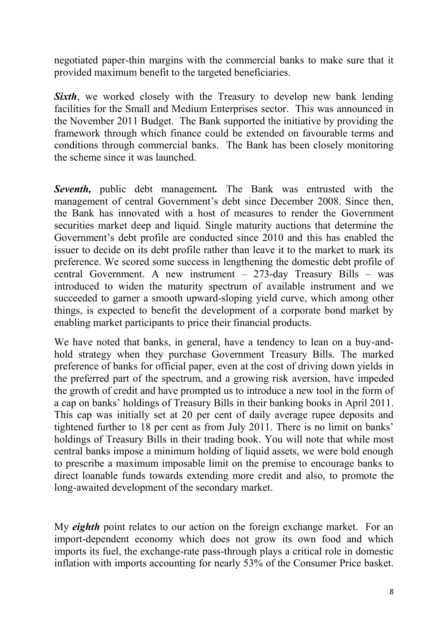negotiated paper-thin margins with the commercial banks to make sure that it provided maximum benefit to the targeted beneficiaries.

**Sixth**, we worked closely with the Treasury to develop new bank lending facilities for the Small and Medium Enterprises sector. This was announced in the November 2011 Budget. The Bank supported the initiative by providing the framework through which finance could be extended on favourable terms and conditions through commercial banks. The Bank has been closely monitoring the scheme since it was launched.

*Seventh,* public debt management*.* The Bank was entrusted with the management of central Government's debt since December 2008. Since then, the Bank has innovated with a host of measures to render the Government securities market deep and liquid. Single maturity auctions that determine the Government's debt profile are conducted since 2010 and this has enabled the issuer to decide on its debt profile rather than leave it to the market to mark its preference. We scored some success in lengthening the domestic debt profile of central Government. A new instrument – 273-day Treasury Bills – was introduced to widen the maturity spectrum of available instrument and we succeeded to garner a smooth upward-sloping yield curve, which among other things, is expected to benefit the development of a corporate bond market by enabling market participants to price their financial products.

We have noted that banks, in general, have a tendency to lean on a buy-andhold strategy when they purchase Government Treasury Bills. The marked preference of banks for official paper, even at the cost of driving down yields in the preferred part of the spectrum, and a growing risk aversion, have impeded the growth of credit and have prompted us to introduce a new tool in the form of a cap on banks' holdings of Treasury Bills in their banking books in April 2011. This cap was initially set at 20 per cent of daily average rupee deposits and tightened further to 18 per cent as from July 2011. There is no limit on banks' holdings of Treasury Bills in their trading book. You will note that while most central banks impose a minimum holding of liquid assets, we were bold enough to prescribe a maximum imposable limit on the premise to encourage banks to direct loanable funds towards extending more credit and also, to promote the long-awaited development of the secondary market.

My *eighth* point relates to our action on the foreign exchange market. For an import-dependent economy which does not grow its own food and which imports its fuel, the exchange-rate pass-through plays a critical role in domestic inflation with imports accounting for nearly 53% of the Consumer Price basket.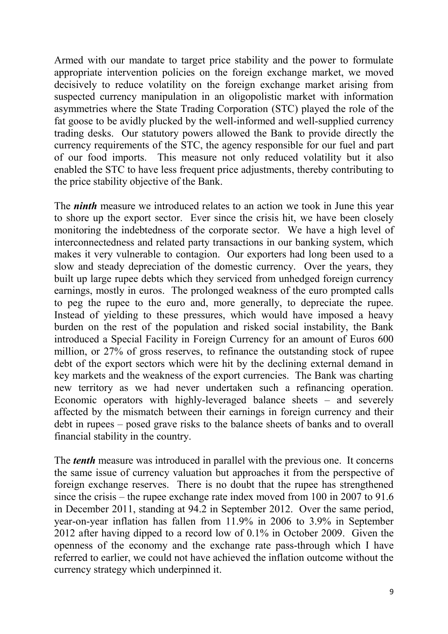Armed with our mandate to target price stability and the power to formulate appropriate intervention policies on the foreign exchange market, we moved decisively to reduce volatility on the foreign exchange market arising from suspected currency manipulation in an oligopolistic market with information asymmetries where the State Trading Corporation (STC) played the role of the fat goose to be avidly plucked by the well-informed and well-supplied currency trading desks. Our statutory powers allowed the Bank to provide directly the currency requirements of the STC, the agency responsible for our fuel and part of our food imports. This measure not only reduced volatility but it also enabled the STC to have less frequent price adjustments, thereby contributing to the price stability objective of the Bank.

The *ninth* measure we introduced relates to an action we took in June this year to shore up the export sector. Ever since the crisis hit, we have been closely monitoring the indebtedness of the corporate sector. We have a high level of interconnectedness and related party transactions in our banking system, which makes it very vulnerable to contagion. Our exporters had long been used to a slow and steady depreciation of the domestic currency. Over the years, they built up large rupee debts which they serviced from unhedged foreign currency earnings, mostly in euros. The prolonged weakness of the euro prompted calls to peg the rupee to the euro and, more generally, to depreciate the rupee. Instead of yielding to these pressures, which would have imposed a heavy burden on the rest of the population and risked social instability, the Bank introduced a Special Facility in Foreign Currency for an amount of Euros 600 million, or 27% of gross reserves, to refinance the outstanding stock of rupee debt of the export sectors which were hit by the declining external demand in key markets and the weakness of the export currencies. The Bank was charting new territory as we had never undertaken such a refinancing operation. Economic operators with highly-leveraged balance sheets – and severely affected by the mismatch between their earnings in foreign currency and their debt in rupees – posed grave risks to the balance sheets of banks and to overall financial stability in the country.

The *tenth* measure was introduced in parallel with the previous one. It concerns the same issue of currency valuation but approaches it from the perspective of foreign exchange reserves. There is no doubt that the rupee has strengthened since the crisis – the rupee exchange rate index moved from 100 in 2007 to 91.6 in December 2011, standing at 94.2 in September 2012. Over the same period, year-on-year inflation has fallen from 11.9% in 2006 to 3.9% in September 2012 after having dipped to a record low of 0.1% in October 2009. Given the openness of the economy and the exchange rate pass-through which I have referred to earlier, we could not have achieved the inflation outcome without the currency strategy which underpinned it.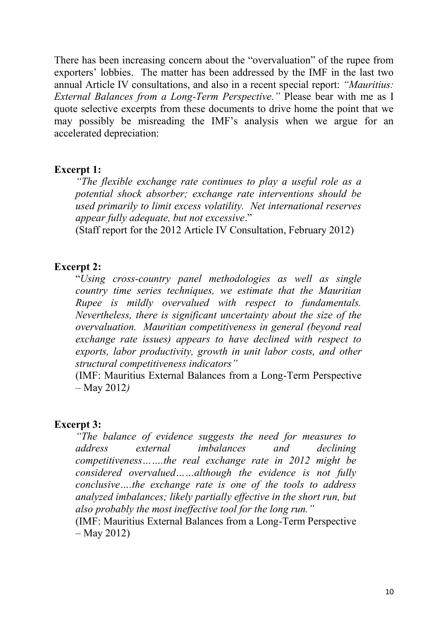There has been increasing concern about the "overvaluation" of the rupee from exporters' lobbies. The matter has been addressed by the IMF in the last two annual Article IV consultations, and also in a recent special report: *"Mauritius: External Balances from a Long-Term Perspective."* Please bear with me as I quote selective excerpts from these documents to drive home the point that we may possibly be misreading the IMF's analysis when we argue for an accelerated depreciation:

### **Excerpt 1:**

*"The flexible exchange rate continues to play a useful role as a potential shock absorber; exchange rate interventions should be used primarily to limit excess volatility. Net international reserves appear fully adequate, but not excessive*."

(Staff report for the 2012 Article IV Consultation, February 2012)

### **Excerpt 2:**

"*Using cross-country panel methodologies as well as single country time series techniques, we estimate that the Mauritian Rupee is mildly overvalued with respect to fundamentals. Nevertheless, there is significant uncertainty about the size of the overvaluation. Mauritian competitiveness in general (beyond real exchange rate issues) appears to have declined with respect to exports, labor productivity, growth in unit labor costs, and other structural competitiveness indicators"*

(IMF: Mauritius External Balances from a Long-Term Perspective – May 2012*)*

#### **Excerpt 3:**

*"The balance of evidence suggests the need for measures to address external imbalances and declining competitiveness…….the real exchange rate in 2012 might be considered overvalued……although the evidence is not fully conclusive….the exchange rate is one of the tools to address analyzed imbalances; likely partially effective in the short run, but also probably the most ineffective tool for the long run."*

(IMF: Mauritius External Balances from a Long-Term Perspective – May 2012)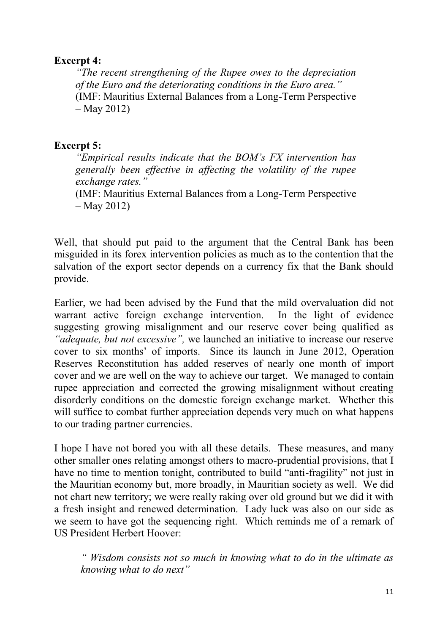## **Excerpt 4:**

*"The recent strengthening of the Rupee owes to the depreciation of the Euro and the deteriorating conditions in the Euro area."* (IMF: Mauritius External Balances from a Long-Term Perspective – May 2012)

# **Excerpt 5:**

*"Empirical results indicate that the BOM's FX intervention has generally been effective in affecting the volatility of the rupee exchange rates."*

(IMF: Mauritius External Balances from a Long-Term Perspective – May 2012)

Well, that should put paid to the argument that the Central Bank has been misguided in its forex intervention policies as much as to the contention that the salvation of the export sector depends on a currency fix that the Bank should provide.

Earlier, we had been advised by the Fund that the mild overvaluation did not warrant active foreign exchange intervention. In the light of evidence suggesting growing misalignment and our reserve cover being qualified as *"adequate, but not excessive",* we launched an initiative to increase our reserve cover to six months' of imports. Since its launch in June 2012, Operation Reserves Reconstitution has added reserves of nearly one month of import cover and we are well on the way to achieve our target. We managed to contain rupee appreciation and corrected the growing misalignment without creating disorderly conditions on the domestic foreign exchange market. Whether this will suffice to combat further appreciation depends very much on what happens to our trading partner currencies.

I hope I have not bored you with all these details. These measures, and many other smaller ones relating amongst others to macro-prudential provisions, that I have no time to mention tonight, contributed to build "anti-fragility" not just in the Mauritian economy but, more broadly, in Mauritian society as well. We did not chart new territory; we were really raking over old ground but we did it with a fresh insight and renewed determination. Lady luck was also on our side as we seem to have got the sequencing right. Which reminds me of a remark of US President Herbert Hoover:

*" Wisdom consists not so much in knowing what to do in the ultimate as knowing what to do next"*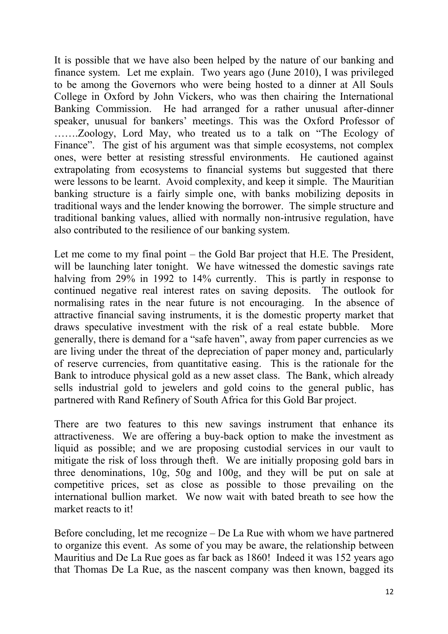It is possible that we have also been helped by the nature of our banking and finance system. Let me explain. Two years ago (June 2010), I was privileged to be among the Governors who were being hosted to a dinner at All Souls College in Oxford by John Vickers, who was then chairing the International Banking Commission. He had arranged for a rather unusual after-dinner speaker, unusual for bankers' meetings. This was the Oxford Professor of …….Zoology, Lord May, who treated us to a talk on "The Ecology of Finance". The gist of his argument was that simple ecosystems, not complex ones, were better at resisting stressful environments. He cautioned against extrapolating from ecosystems to financial systems but suggested that there were lessons to be learnt. Avoid complexity, and keep it simple. The Mauritian banking structure is a fairly simple one, with banks mobilizing deposits in traditional ways and the lender knowing the borrower. The simple structure and traditional banking values, allied with normally non-intrusive regulation, have also contributed to the resilience of our banking system.

Let me come to my final point – the Gold Bar project that H.E. The President, will be launching later tonight. We have witnessed the domestic savings rate halving from 29% in 1992 to 14% currently. This is partly in response to continued negative real interest rates on saving deposits. The outlook for normalising rates in the near future is not encouraging. In the absence of attractive financial saving instruments, it is the domestic property market that draws speculative investment with the risk of a real estate bubble. More generally, there is demand for a "safe haven", away from paper currencies as we are living under the threat of the depreciation of paper money and, particularly of reserve currencies, from quantitative easing. This is the rationale for the Bank to introduce physical gold as a new asset class. The Bank, which already sells industrial gold to jewelers and gold coins to the general public, has partnered with Rand Refinery of South Africa for this Gold Bar project.

There are two features to this new savings instrument that enhance its attractiveness. We are offering a buy-back option to make the investment as liquid as possible; and we are proposing custodial services in our vault to mitigate the risk of loss through theft. We are initially proposing gold bars in three denominations, 10g, 50g and 100g, and they will be put on sale at competitive prices, set as close as possible to those prevailing on the international bullion market. We now wait with bated breath to see how the market reacts to it!

Before concluding, let me recognize – De La Rue with whom we have partnered to organize this event. As some of you may be aware, the relationship between Mauritius and De La Rue goes as far back as 1860! Indeed it was 152 years ago that Thomas De La Rue, as the nascent company was then known, bagged its